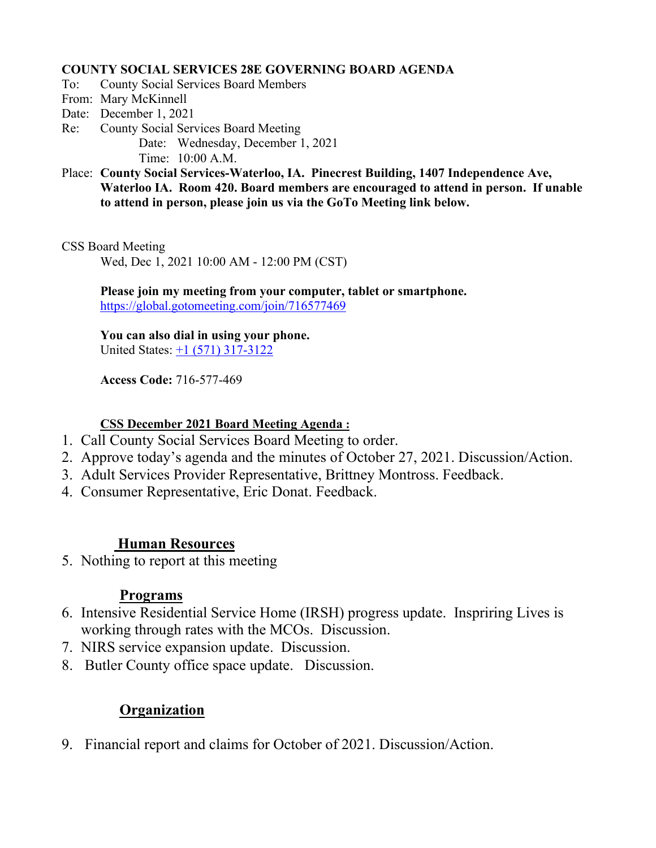#### **COUNTY SOCIAL SERVICES 28E GOVERNING BOARD AGENDA**

- To: County Social Services Board Members
- From: Mary McKinnell
- Date: December 1, 2021
- Re: County Social Services Board Meeting Date: Wednesday, December 1, 2021 Time: 10:00 A.M.
- Place: **County Social Services-Waterloo, IA. Pinecrest Building, 1407 Independence Ave, Waterloo IA. Room 420. Board members are encouraged to attend in person. If unable to attend in person, please join us via the GoTo Meeting link below.**

CSS Board Meeting

Wed, Dec 1, 2021 10:00 AM - 12:00 PM (CST)

**Please join my meeting from your computer, tablet or smartphone.**  <https://global.gotomeeting.com/join/716577469>

**You can also dial in using your phone.** United States: [+1 \(571\) 317-3122](tel:+15713173122,,716577469)

**Access Code:** 716-577-469

#### **CSS December 2021 Board Meeting Agenda :**

- 1. Call County Social Services Board Meeting to order.
- 2. Approve today's agenda and the minutes of October 27, 2021. Discussion/Action.
- 3. Adult Services Provider Representative, Brittney Montross. Feedback.
- 4. Consumer Representative, Eric Donat. Feedback.

# **Human Resources**

5. Nothing to report at this meeting

### **Programs**

- 6. Intensive Residential Service Home (IRSH) progress update. Inspriring Lives is working through rates with the MCOs. Discussion.
- 7. NIRS service expansion update. Discussion.
- 8. Butler County office space update. Discussion.

# **Organization**

9. Financial report and claims for October of 2021. Discussion/Action.